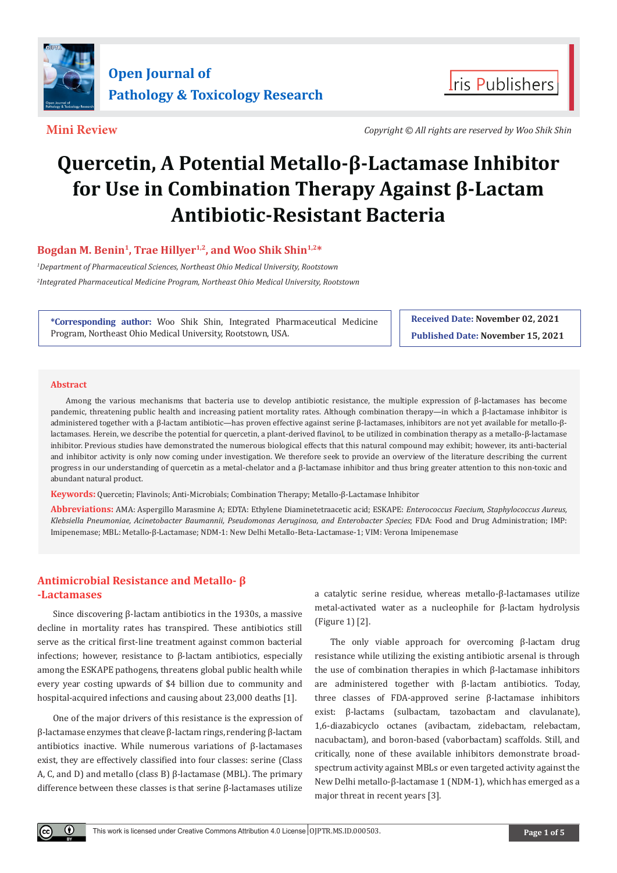

**Mini Review** *Copyright © All rights are reserved by Woo Shik Shin*

**I**ris Publishers

# **Quercetin, A Potential Metallo-β-Lactamase Inhibitor for Use in Combination Therapy Against β-Lactam Antibiotic-Resistant Bacteria**

# **Bogdan M. Benin<sup>1</sup>, Trae Hillyer1,2, and Woo Shik Shin1,2\***

*1 Department of Pharmaceutical Sciences, Northeast Ohio Medical University, Rootstown 2 Integrated Pharmaceutical Medicine Program, Northeast Ohio Medical University, Rootstown*

**\*Corresponding author:** Woo Shik Shin, Integrated Pharmaceutical Medicine Program, Northeast Ohio Medical University, Rootstown, USA.

**Received Date: November 02, 2021 Published Date: November 15, 2021**

#### **Abstract**

 $\odot$ 

Among the various mechanisms that bacteria use to develop antibiotic resistance, the multiple expression of β-lactamases has become pandemic, threatening public health and increasing patient mortality rates. Although combination therapy—in which a β-lactamase inhibitor is administered together with a β-lactam antibiotic—has proven effective against serine β-lactamases, inhibitors are not yet available for metallo-βlactamases. Herein, we describe the potential for quercetin, a plant-derived flavinol, to be utilized in combination therapy as a metallo-β-lactamase inhibitor. Previous studies have demonstrated the numerous biological effects that this natural compound may exhibit; however, its anti-bacterial and inhibitor activity is only now coming under investigation. We therefore seek to provide an overview of the literature describing the current progress in our understanding of quercetin as a metal-chelator and a β-lactamase inhibitor and thus bring greater attention to this non-toxic and abundant natural product.

**Keywords:** Quercetin; Flavinols; Anti-Microbials; Combination Therapy; Metallo-β-Lactamase Inhibitor

**Abbreviations:** AMA: Aspergillo Marasmine A; EDTA: Ethylene Diaminetetraacetic acid; ESKAPE: *Enterococcus Faecium, Staphylococcus Aureus, Klebsiella Pneumoniae, Acinetobacter Baumannii, Pseudomonas Aeruginosa, and Enterobacter Species*; FDA: Food and Drug Administration; IMP: Imipenemase; MBL: Metallo-β-Lactamase; NDM-1: New Delhi Metallo-Beta-Lactamase-1; VIM: Verona Imipenemase

# **Antimicrobial Resistance and Metallo- β -Lactamases**

Since discovering β-lactam antibiotics in the 1930s, a massive decline in mortality rates has transpired. These antibiotics still serve as the critical first-line treatment against common bacterial infections; however, resistance to β-lactam antibiotics, especially among the ESKAPE pathogens, threatens global public health while every year costing upwards of \$4 billion due to community and hospital-acquired infections and causing about 23,000 deaths [1].

One of the major drivers of this resistance is the expression of β-lactamase enzymes that cleave β-lactam rings, rendering β-lactam antibiotics inactive. While numerous variations of β-lactamases exist, they are effectively classified into four classes: serine (Class A, C, and D) and metallo (class B) β-lactamase (MBL). The primary difference between these classes is that serine β-lactamases utilize a catalytic serine residue, whereas metallo-β-lactamases utilize metal-activated water as a nucleophile for β-lactam hydrolysis (Figure 1) [2].

The only viable approach for overcoming β-lactam drug resistance while utilizing the existing antibiotic arsenal is through the use of combination therapies in which β-lactamase inhibitors are administered together with β-lactam antibiotics. Today, three classes of FDA-approved serine β-lactamase inhibitors exist: β-lactams (sulbactam, tazobactam and clavulanate), 1,6-diazabicyclo octanes (avibactam, zidebactam, relebactam, nacubactam), and boron-based (vaborbactam) scaffolds. Still, and critically, none of these available inhibitors demonstrate broadspectrum activity against MBLs or even targeted activity against the New Delhi metallo-β-lactamase 1 (NDM-1), which has emerged as a major threat in recent years [3].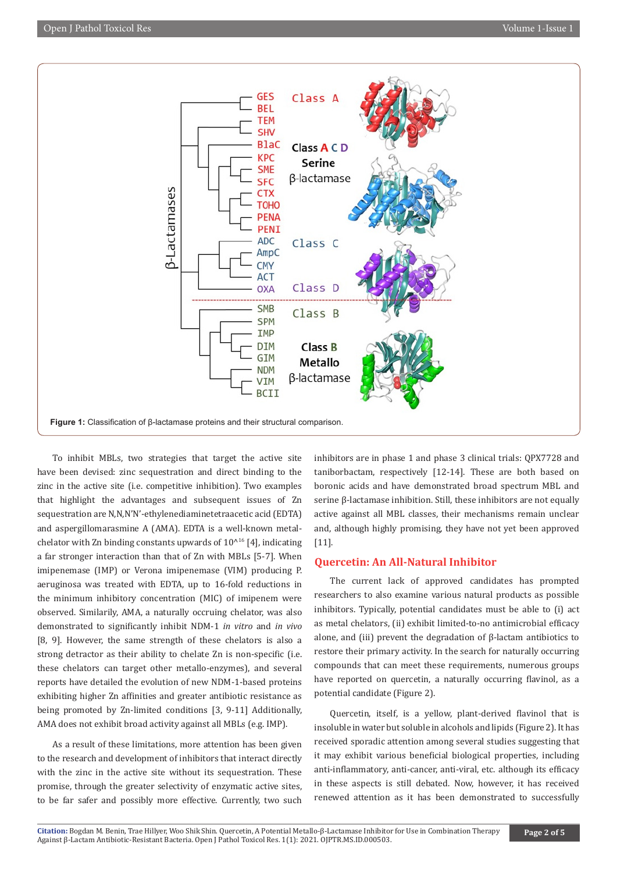

To inhibit MBLs, two strategies that target the active site have been devised: zinc sequestration and direct binding to the zinc in the active site (i.e. competitive inhibition). Two examples that highlight the advantages and subsequent issues of Zn sequestration are N,N,N'N'-ethylenediaminetetraacetic acid (EDTA) and aspergillomarasmine A (AMA). EDTA is a well-known metalchelator with Zn binding constants upwards of  $10^{16}$  [4], indicating a far stronger interaction than that of Zn with MBLs [5-7]. When imipenemase (IMP) or Verona imipenemase (VIM) producing P. aeruginosa was treated with EDTA, up to 16-fold reductions in the minimum inhibitory concentration (MIC) of imipenem were observed. Similarily, AMA, a naturally occruing chelator, was also demonstrated to significantly inhibit NDM-1 *in vitro* and *in vivo* [8, 9]. However, the same strength of these chelators is also a strong detractor as their ability to chelate Zn is non-specific (i.e. these chelators can target other metallo-enzymes), and several reports have detailed the evolution of new NDM-1-based proteins exhibiting higher Zn affinities and greater antibiotic resistance as being promoted by Zn-limited conditions [3, 9-11] Additionally, AMA does not exhibit broad activity against all MBLs (e.g. IMP).

As a result of these limitations, more attention has been given to the research and development of inhibitors that interact directly with the zinc in the active site without its sequestration. These promise, through the greater selectivity of enzymatic active sites, to be far safer and possibly more effective. Currently, two such inhibitors are in phase 1 and phase 3 clinical trials: QPX7728 and taniborbactam, respectively [12-14]. These are both based on boronic acids and have demonstrated broad spectrum MBL and serine β-lactamase inhibition. Still, these inhibitors are not equally active against all MBL classes, their mechanisms remain unclear and, although highly promising, they have not yet been approved [11].

# **Quercetin: An All-Natural Inhibitor**

The current lack of approved candidates has prompted researchers to also examine various natural products as possible inhibitors. Typically, potential candidates must be able to (i) act as metal chelators, (ii) exhibit limited-to-no antimicrobial efficacy alone, and (iii) prevent the degradation of β-lactam antibiotics to restore their primary activity. In the search for naturally occurring compounds that can meet these requirements, numerous groups have reported on quercetin, a naturally occurring flavinol, as a potential candidate (Figure 2).

Quercetin, itself, is a yellow, plant-derived flavinol that is insoluble in water but soluble in alcohols and lipids (Figure 2). It has received sporadic attention among several studies suggesting that it may exhibit various beneficial biological properties, including anti-inflammatory, anti-cancer, anti-viral, etc. although its efficacy in these aspects is still debated. Now, however, it has received renewed attention as it has been demonstrated to successfully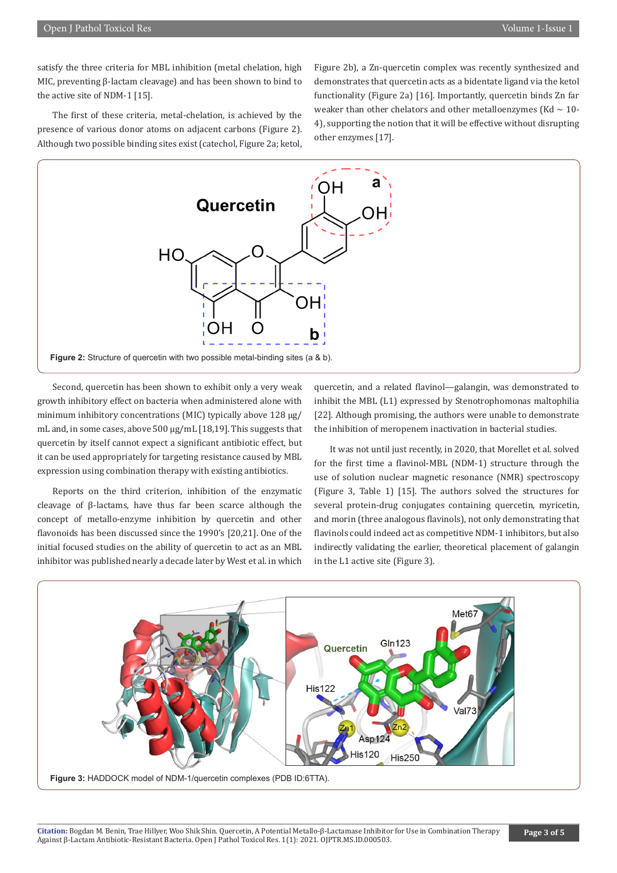satisfy the three criteria for MBL inhibition (metal chelation, high MIC, preventing β-lactam cleavage) and has been shown to bind to the active site of NDM-1 [15].

The first of these criteria, metal-chelation, is achieved by the presence of various donor atoms on adjacent carbons (Figure 2). Although two possible binding sites exist (catechol, Figure 2a; ketol, Figure 2b), a Zn-quercetin complex was recently synthesized and demonstrates that quercetin acts as a bidentate ligand via the ketol functionality (Figure 2a) [16]. Importantly, quercetin binds Zn far weaker than other chelators and other metalloenzymes (Kd  $\sim$  10-4), supporting the notion that it will be effective without disrupting other enzymes [17].



Second, quercetin has been shown to exhibit only a very weak growth inhibitory effect on bacteria when administered alone with minimum inhibitory concentrations (MIC) typically above 128 μg/ mL and, in some cases, above 500 μg/mL [18,19]. This suggests that quercetin by itself cannot expect a significant antibiotic effect, but it can be used appropriately for targeting resistance caused by MBL expression using combination therapy with existing antibiotics.

Reports on the third criterion, inhibition of the enzymatic cleavage of β-lactams, have thus far been scarce although the concept of metallo-enzyme inhibition by quercetin and other flavonoids has been discussed since the 1990's [20,21]. One of the initial focused studies on the ability of quercetin to act as an MBL inhibitor was published nearly a decade later by West et al. in which

quercetin, and a related flavinol—galangin, was demonstrated to inhibit the MBL (L1) expressed by Stenotrophomonas maltophilia [22]. Although promising, the authors were unable to demonstrate the inhibition of meropenem inactivation in bacterial studies.

It was not until just recently, in 2020, that Morellet et al. solved for the first time a flavinol-MBL (NDM-1) structure through the use of solution nuclear magnetic resonance (NMR) spectroscopy (Figure 3, Table 1) [15]. The authors solved the structures for several protein-drug conjugates containing quercetin, myricetin, and morin (three analogous flavinols), not only demonstrating that flavinols could indeed act as competitive NDM-1 inhibitors, but also indirectly validating the earlier, theoretical placement of galangin in the L1 active site (Figure 3).

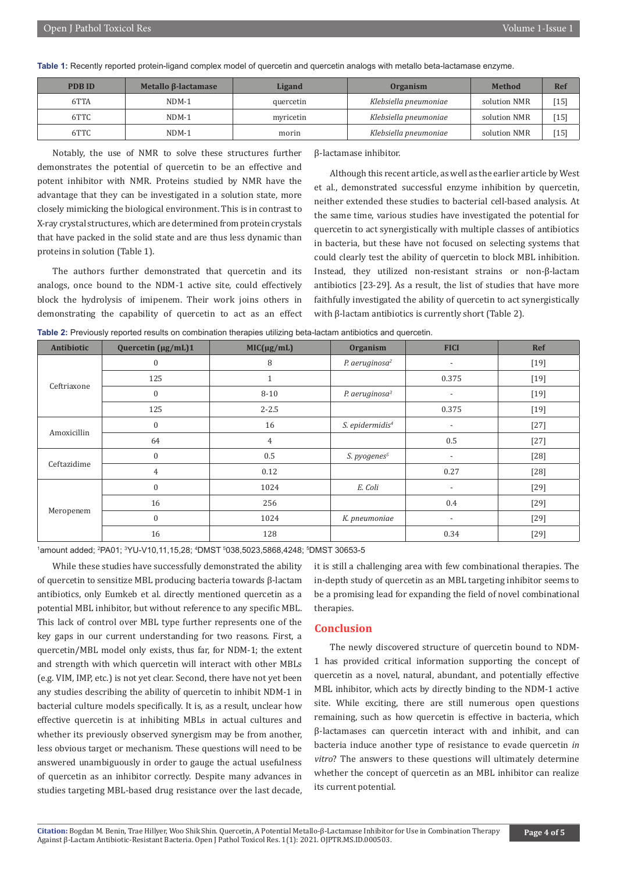**Table 1:** Recently reported protein-ligand complex model of quercetin and quercetin analogs with metallo beta-lactamase enzyme.

| <b>PDBID</b> | Metallo $\beta$ -lactamase | Ligand    | <b>Organism</b>       | <b>Method</b> | Ref    |
|--------------|----------------------------|-----------|-----------------------|---------------|--------|
| 6TTA         | $NDM-1$                    | quercetin | Klebsiella pneumoniae | solution NMR  | [15]   |
| 6TTC         | $NDM-1$                    | myricetin | Klebsiella pneumoniae | solution NMR  | $[15]$ |
| 6TTC         | $NDM-1$                    | morin     | Klebsiella pneumoniae | solution NMR  | [15]   |

Notably, the use of NMR to solve these structures further demonstrates the potential of quercetin to be an effective and potent inhibitor with NMR. Proteins studied by NMR have the advantage that they can be investigated in a solution state, more closely mimicking the biological environment. This is in contrast to X-ray crystal structures, which are determined from protein crystals that have packed in the solid state and are thus less dynamic than proteins in solution (Table 1).

The authors further demonstrated that quercetin and its analogs, once bound to the NDM-1 active site, could effectively block the hydrolysis of imipenem. Their work joins others in demonstrating the capability of quercetin to act as an effect β-lactamase inhibitor.

Although this recent article, as well as the earlier article by West et al., demonstrated successful enzyme inhibition by quercetin, neither extended these studies to bacterial cell-based analysis. At the same time, various studies have investigated the potential for quercetin to act synergistically with multiple classes of antibiotics in bacteria, but these have not focused on selecting systems that could clearly test the ability of quercetin to block MBL inhibition. Instead, they utilized non-resistant strains or non-β-lactam antibiotics [23-29]. As a result, the list of studies that have more faithfully investigated the ability of quercetin to act synergistically with β-lactam antibiotics is currently short (Table 2).

| Table 2: Previously reported results on combination therapies utilizing beta-lactam antibiotics and quercetin. |  |  |  |  |  |  |  |
|----------------------------------------------------------------------------------------------------------------|--|--|--|--|--|--|--|
|----------------------------------------------------------------------------------------------------------------|--|--|--|--|--|--|--|

| Antibiotic  | Quercetin (µg/mL)1 | ັ<br>$MIC(\mu g/mL)$ | Organism                    | <b>FICI</b>              | Ref    |
|-------------|--------------------|----------------------|-----------------------------|--------------------------|--------|
| Ceftriaxone | $\boldsymbol{0}$   | 8                    | P. aeruginosa <sup>2</sup>  | $\overline{\phantom{a}}$ | $[19]$ |
|             | 125                | $\mathbf{1}$         |                             | 0.375                    | $[19]$ |
|             | $\boldsymbol{0}$   | $8 - 10$             | P. aeruginosa $3$           | $\overline{\phantom{a}}$ | $[19]$ |
|             | 125                | $2 - 2.5$            |                             | 0.375                    | $[19]$ |
| Amoxicillin | $\boldsymbol{0}$   | 16                   | S. epidermidis <sup>4</sup> | $\overline{\phantom{a}}$ | $[27]$ |
|             | 64                 | $\overline{4}$       |                             | 0.5                      | $[27]$ |
| Ceftazidime | $\boldsymbol{0}$   | 0.5                  | S. pyogenes <sup>5</sup>    | $\overline{\phantom{a}}$ | $[28]$ |
|             | $\overline{4}$     | 0.12                 |                             | 0.27                     | $[28]$ |
| Meropenem   | $\boldsymbol{0}$   | 1024                 | E. Coli                     | $\overline{\phantom{a}}$ | $[29]$ |
|             | 16                 | 256                  |                             | 0.4                      | $[29]$ |
|             | $\boldsymbol{0}$   | 1024                 | K. pneumoniae               | $\overline{\phantom{a}}$ | $[29]$ |
|             | 16                 | 128                  |                             | 0.34                     | $[29]$ |

<sup>1</sup>amount added; <sup>2</sup>PA01; <sup>3</sup>YU-V10,11,15,28; <sup>4</sup>DMST <sup>5</sup>038,5023,5868,4248; <sup>5</sup>DMST 30653-5

While these studies have successfully demonstrated the ability of quercetin to sensitize MBL producing bacteria towards β-lactam antibiotics, only Eumkeb et al. directly mentioned quercetin as a potential MBL inhibitor, but without reference to any specific MBL. This lack of control over MBL type further represents one of the key gaps in our current understanding for two reasons. First, a quercetin/MBL model only exists, thus far, for NDM-1; the extent and strength with which quercetin will interact with other MBLs (e.g. VIM, IMP, etc.) is not yet clear. Second, there have not yet been any studies describing the ability of quercetin to inhibit NDM-1 in bacterial culture models specifically. It is, as a result, unclear how effective quercetin is at inhibiting MBLs in actual cultures and whether its previously observed synergism may be from another, less obvious target or mechanism. These questions will need to be answered unambiguously in order to gauge the actual usefulness of quercetin as an inhibitor correctly. Despite many advances in studies targeting MBL-based drug resistance over the last decade,

it is still a challenging area with few combinational therapies. The in-depth study of quercetin as an MBL targeting inhibitor seems to be a promising lead for expanding the field of novel combinational therapies.

## **Conclusion**

The newly discovered structure of quercetin bound to NDM-1 has provided critical information supporting the concept of quercetin as a novel, natural, abundant, and potentially effective MBL inhibitor, which acts by directly binding to the NDM-1 active site. While exciting, there are still numerous open questions remaining, such as how quercetin is effective in bacteria, which β-lactamases can quercetin interact with and inhibit, and can bacteria induce another type of resistance to evade quercetin *in vitro*? The answers to these questions will ultimately determine whether the concept of quercetin as an MBL inhibitor can realize its current potential.